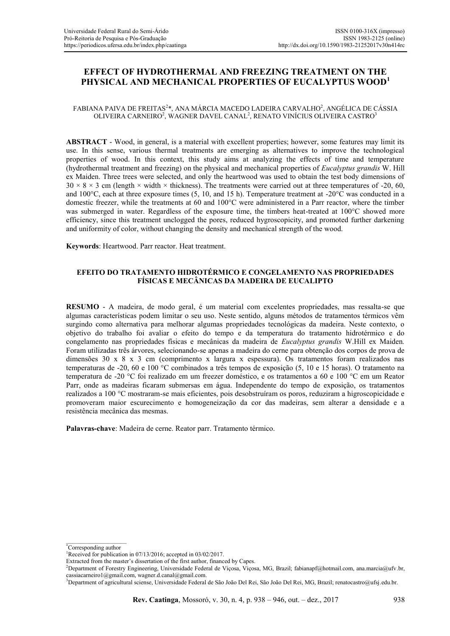# **EFFECT OF HYDROTHERMAL AND FREEZING TREATMENT ON THE PHYSICAL AND MECHANICAL PROPERTIES OF EUCALYPTUS WOOD<sup>1</sup>**

### FABIANA PAIVA DE FREITAS $^{2\ast},$  ANA MÁRCIA MACEDO LADEIRA CARVALHO $^{2},$  ANGÉLICA DE CÁSSIA OLIVEIRA CARNEIRO<sup>2</sup>, WAGNER DAVEL CANAL<sup>2</sup>, RENATO VINÍCIUS OLIVEIRA CASTRO<sup>3</sup>

**ABSTRACT** - Wood, in general, is a material with excellent properties; however, some features may limit its use. In this sense, various thermal treatments are emerging as alternatives to improve the technological properties of wood. In this context, this study aims at analyzing the effects of time and temperature (hydrothermal treatment and freezing) on the physical and mechanical properties of *Eucalyptus grandis* W. Hill ex Maiden. Three trees were selected, and only the heartwood was used to obtain the test body dimensions of  $30 \times 8 \times 3$  cm (length  $\times$  width  $\times$  thickness). The treatments were carried out at three temperatures of -20, 60, and 100°C, each at three exposure times (5, 10, and 15 h). Temperature treatment at -20°C was conducted in a domestic freezer, while the treatments at 60 and 100°C were administered in a Parr reactor, where the timber was submerged in water. Regardless of the exposure time, the timbers heat-treated at 100°C showed more efficiency, since this treatment unclogged the pores, reduced hygroscopicity, and promoted further darkening and uniformity of color, without changing the density and mechanical strength of the wood.

**Keywords**: Heartwood. Parr reactor. Heat treatment.

### **EFEITO DO TRATAMENTO HIDROTÉRMICO E CONGELAMENTO NAS PROPRIEDADES FÍSICAS E MECÂNICAS DA MADEIRA DE EUCALIPTO**

**RESUMO** - A madeira, de modo geral, é um material com excelentes propriedades, mas ressalta-se que algumas características podem limitar o seu uso. Neste sentido, alguns métodos de tratamentos térmicos vêm surgindo como alternativa para melhorar algumas propriedades tecnológicas da madeira. Neste contexto, o objetivo do trabalho foi avaliar o efeito do tempo e da temperatura do tratamento hidrotérmico e do congelamento nas propriedades físicas e mecânicas da madeira de *Eucalyptus grandis* W.Hill ex Maiden*.*  Foram utilizadas três árvores, selecionando-se apenas a madeira do cerne para obtenção dos corpos de prova de dimensões 30 x 8 x 3 cm (comprimento x largura x espessura). Os tratamentos foram realizados nas temperaturas de -20, 60 e 100 °C combinados a três tempos de exposição (5, 10 e 15 horas). O tratamento na temperatura de -20 °C foi realizado em um freezer doméstico, e os tratamentos a 60 e 100 °C em um Reator Parr, onde as madeiras ficaram submersas em água. Independente do tempo de exposição, os tratamentos realizados a 100 °C mostraram-se mais eficientes, pois desobstruíram os poros, reduziram a higroscopicidade e promoveram maior escurecimento e homogeneização da cor das madeiras, sem alterar a densidade e a resistência mecânica das mesmas.

**Palavras-chave**: Madeira de cerne. Reator parr. Tratamento térmico.

<sup>\*</sup>Corresponding author

<sup>&</sup>lt;sup>1</sup>Received for publication in 07/13/2016; accepted in 03/02/2017.

Extracted from the master's dissertation of the first author, financed by Capes.

<sup>&</sup>lt;sup>2</sup>Department of Forestry Engineering, Universidade Federal de Vicosa, Vicosa, MG, Brazil; fabianapf@hotmail.com, ana.marcia@ufv.br, cassiacarneiro1@gmail.com, wagner.d.canal@gmail.com.

<sup>3</sup>Department of agricultural sciense, Universidade Federal de São João Del Rei, São João Del Rei, MG, Brazil; renatocastro@ufsj.edu.br.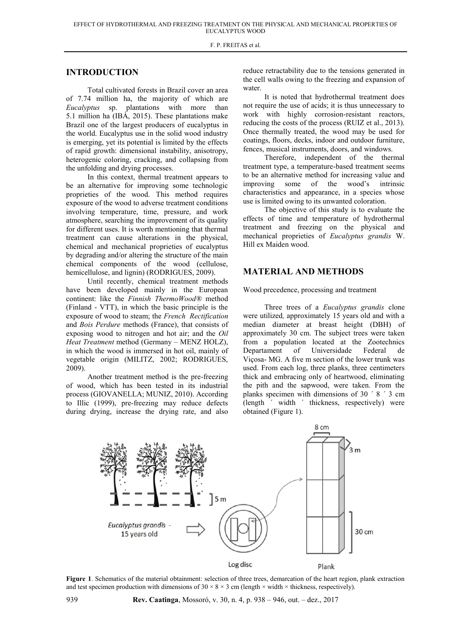### **INTRODUCTION**

Total cultivated forests in Brazil cover an area of 7.74 million ha, the majority of which are *Eucalyptus* sp. plantations with more than 5.1 million ha (IBÁ, 2015). These plantations make Brazil one of the largest producers of eucalyptus in the world. Eucalyptus use in the solid wood industry is emerging, yet its potential is limited by the effects of rapid growth: dimensional instability, anisotropy, heterogenic coloring, cracking, and collapsing from the unfolding and drying processes.

In this context, thermal treatment appears to be an alternative for improving some technologic proprieties of the wood. This method requires exposure of the wood to adverse treatment conditions involving temperature, time, pressure, and work atmosphere, searching the improvement of its quality for different uses. It is worth mentioning that thermal treatment can cause alterations in the physical, chemical and mechanical proprieties of eucalyptus by degrading and/or altering the structure of the main chemical components of the wood (cellulose, hemicellulose, and lignin) (RODRIGUES, 2009).

Until recently, chemical treatment methods have been developed mainly in the European continent: like the *Finnish ThermoWood®* method (Finland - VTT), in which the basic principle is the exposure of wood to steam; the *French Rectification* and *Bois Perdure* methods (France), that consists of exposing wood to nitrogen and hot air; and the *Oil Heat Treatment* method (Germany – MENZ HOLZ), in which the wood is immersed in hot oil, mainly of vegetable origin (MILITZ, 2002; RODRIGUES, 2009).

Another treatment method is the pre-freezing of wood, which has been tested in its industrial process (GIOVANELLA; MUNIZ, 2010). According to Illic (1999), pre-freezing may reduce defects during drying, increase the drying rate, and also reduce retractability due to the tensions generated in the cell walls owing to the freezing and expansion of water.

It is noted that hydrothermal treatment does not require the use of acids; it is thus unnecessary to work with highly corrosion-resistant reactors, reducing the costs of the process (RUIZ et al., 2013). Once thermally treated, the wood may be used for coatings, floors, decks, indoor and outdoor furniture, fences, musical instruments, doors, and windows.

Therefore, independent of the thermal treatment type, a temperature-based treatment seems to be an alternative method for increasing value and improving some of the wood's intrinsic characteristics and appearance, in a species whose use is limited owing to its unwanted coloration.

The objective of this study is to evaluate the effects of time and temperature of hydrothermal treatment and freezing on the physical and mechanical proprieties of *Eucalyptus grandis* W. Hill ex Maiden wood.

## **MATERIAL AND METHODS**

Wood precedence, processing and treatment

Three trees of a *Eucalyptus grandis* clone were utilized*,* approximately 15 years old and with a median diameter at breast height (DBH) of approximately 30 cm. The subject trees were taken from a population located at the Zootechnics Departament of Universidade Federal de Viçosa- MG. A five m section of the lower trunk was used. From each log, three planks, three centimeters thick and embracing only of heartwood, eliminating the pith and the sapwood, were taken. From the planks specimen with dimensions of 30 ´ 8 ´ 3 cm (length ´ width ´ thickness, respectively) were obtained (Figure 1).



**Figure 1**. Schematics of the material obtainment: selection of three trees, demarcation of the heart region, plank extraction and test specimen production with dimensions of  $30 \times 8 \times 3$  cm (length  $\times$  width  $\times$  thickness, respectively).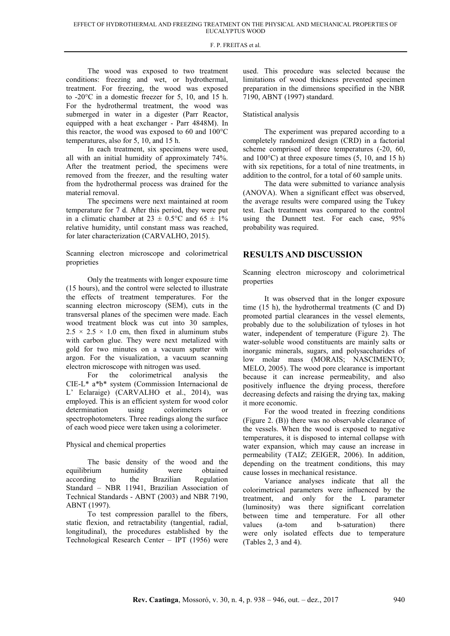The wood was exposed to two treatment conditions: freezing and wet, or hydrothermal, treatment. For freezing, the wood was exposed to -20°C in a domestic freezer for 5, 10, and 15 h. For the hydrothermal treatment, the wood was submerged in water in a digester (Parr Reactor, equipped with a heat exchanger - Parr 4848M). In this reactor, the wood was exposed to 60 and 100°C temperatures, also for 5, 10, and 15 h.

In each treatment, six specimens were used, all with an initial humidity of approximately 74%. After the treatment period, the specimens were removed from the freezer, and the resulting water from the hydrothermal process was drained for the material removal.

The specimens were next maintained at room temperature for 7 d. After this period, they were put in a climatic chamber at  $23 \pm 0.5^{\circ}$ C and  $65 \pm 1\%$ relative humidity, until constant mass was reached, for later characterization (CARVALHO, 2015).

Scanning electron microscope and colorimetrical proprieties

Only the treatments with longer exposure time (15 hours), and the control were selected to illustrate the effects of treatment temperatures. For the scanning electron microscopy (SEM), cuts in the transversal planes of the specimen were made. Each wood treatment block was cut into 30 samples,  $2.5 \times 2.5 \times 1.0$  cm, then fixed in aluminum stubs with carbon glue. They were next metalized with gold for two minutes on a vacuum sputter with argon. For the visualization, a vacuum scanning electron microscope with nitrogen was used.

For the colorimetrical analysis the CIE-L\* a\*b\* system (Commission Internacional de L' Eclaraige) (CARVALHO et al., 2014), was employed. This is an efficient system for wood color determination using colorimeters or spectrophotometers. Three readings along the surface of each wood piece were taken using a colorimeter.

### Physical and chemical properties

The basic density of the wood and the equilibrium humidity were obtained according to the Brazilian Regulation Standard – NBR 11941, Brazilian Association of Technical Standards - ABNT (2003) and NBR 7190, ABNT (1997).

To test compression parallel to the fibers, static flexion, and retractability (tangential, radial, longitudinal), the procedures established by the Technological Research Center – IPT (1956) were used. This procedure was selected because the limitations of wood thickness prevented specimen preparation in the dimensions specified in the NBR 7190, ABNT (1997) standard.

### Statistical analysis

The experiment was prepared according to a completely randomized design (CRD) in a factorial scheme comprised of three temperatures (-20, 60, and 100°C) at three exposure times (5, 10, and 15 h) with six repetitions, for a total of nine treatments, in addition to the control, for a total of 60 sample units.

The data were submitted to variance analysis (ANOVA). When a significant effect was observed, the average results were compared using the Tukey test. Each treatment was compared to the control using the Dunnett test. For each case, 95% probability was required.

### **RESULTS AND DISCUSSION**

Scanning electron microscopy and colorimetrical properties

It was observed that in the longer exposure time (15 h), the hydrothermal treatments (C and D) promoted partial clearances in the vessel elements, probably due to the solubilization of tyloses in hot water, independent of temperature (Figure 2). The water-soluble wood constituents are mainly salts or inorganic minerals, sugars, and polysaccharides of low molar mass (MORAIS; NASCIMENTO; MELO, 2005). The wood pore clearance is important because it can increase permeability, and also positively influence the drying process, therefore decreasing defects and raising the drying tax, making it more economic.

For the wood treated in freezing conditions (Figure 2. (B)) there was no observable clearance of the vessels. When the wood is exposed to negative temperatures, it is disposed to internal collapse with water expansion, which may cause an increase in permeability (TAIZ; ZEIGER, 2006). In addition, depending on the treatment conditions, this may cause losses in mechanical resistance.

Variance analyses indicate that all the colorimetrical parameters were influenced by the treatment, and only for the L parameter (luminosity) was there significant correlation between time and temperature. For all other values (a-tom and b-saturation) there were only isolated effects due to temperature (Tables 2, 3 and 4).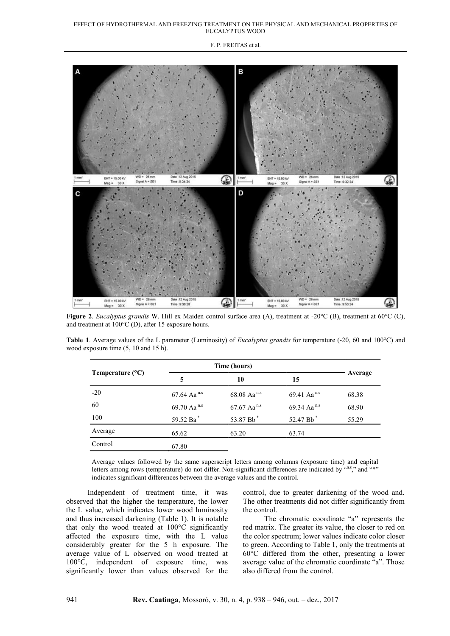#### EFFECT OF HYDROTHERMAL AND FREEZING TREATMENT ON THE PHYSICAL AND MECHANICAL PROPERTIES OF EUCALYPTUS WOOD

F. P. FREITAS et al.



**Figure 2**. *Eucalyptus grandis* W. Hill ex Maiden control surface area (A), treatment at -20°C (B), treatment at 60°C (C), and treatment at 100°C (D), after 15 exposure hours.

**Table 1**. Average values of the L parameter (Luminosity) of *Eucalyptus grandis* for temperature (-20, 60 and 100°C) and wood exposure time (5, 10 and 15 h).

| Temperature $(^{\circ}C)$ |                           | Time (hours)              |                         |         |
|---------------------------|---------------------------|---------------------------|-------------------------|---------|
|                           | 5                         | 10                        | 15                      | Average |
| $-20$                     | $67.64$ Aa <sup>n.s</sup> | $68.08$ Aa <sup>n.s</sup> | 69.41 Aa <sup>n.s</sup> | 68.38   |
| 60                        | 69.70 Aa <sup>n.s</sup>   | 67.67 Aa <sup>n.s</sup>   | 69.34 Aa <sup>n.s</sup> | 68.90   |
| 100                       | 59.52 Ba*                 | 53.87 Bb <sup>*</sup>     | 52.47 Bb <sup>*</sup>   | 55.29   |
| Average                   | 65.62                     | 63.20                     | 63.74                   |         |
| Control                   | 67.80                     |                           |                         |         |

Average values followed by the same superscript letters among columns (exposure time) and capital letters among rows (temperature) do not differ. Non-significant differences are indicated by "and"\*" indicates significant differences between the average values and the control.

Independent of treatment time, it was observed that the higher the temperature, the lower the L value, which indicates lower wood luminosity and thus increased darkening (Table 1). It is notable that only the wood treated at 100°C significantly affected the exposure time, with the L value considerably greater for the 5 h exposure. The average value of L observed on wood treated at 100°C, independent of exposure time, was significantly lower than values observed for the

control, due to greater darkening of the wood and. The other treatments did not differ significantly from the control.

The chromatic coordinate "a" represents the red matrix. The greater its value, the closer to red on the color spectrum; lower values indicate color closer to green. According to Table 1, only the treatments at 60°C differed from the other, presenting a lower average value of the chromatic coordinate "a". Those also differed from the control.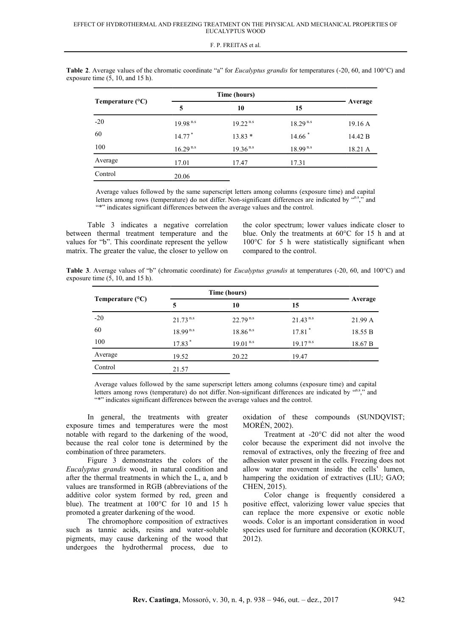| Temperature $(^{\circ}C)$ |               | Time (hours)  |                      |         |
|---------------------------|---------------|---------------|----------------------|---------|
|                           | 5             | 10            | 15                   | Average |
| $-20$                     | $19.98^{n.s}$ | $19.22^{n.s}$ | $18.29^{n.s}$        | 19.16A  |
| 60                        | $14.77*$      | $13.83*$      | $14.66$ <sup>*</sup> | 14.42 B |
| 100                       | $16.29^{n.s}$ | $19.36^{n.s}$ | $18.99^{n.s}$        | 18.21 A |
| Average                   | 17.01         | 17.47         | 17.31                |         |
| Control                   | 20.06         |               |                      |         |

**Table 2**. Average values of the chromatic coordinate "a" for *Eucalyptus grandis* for temperatures (-20, 60, and 100°C) and exposure time (5, 10, and 15 h).

Average values followed by the same superscript letters among columns (exposure time) and capital letters among rows (temperature) do not differ. Non-significant differences are indicated by "n.s", and "\*" indicates significant differences between the average values and the control.

Table 3 indicates a negative correlation between thermal treatment temperature and the values for "b". This coordinate represent the yellow matrix. The greater the value, the closer to yellow on

the color spectrum; lower values indicate closer to blue. Only the treatments at 60°C for 15 h and at 100°C for 5 h were statistically significant when compared to the control.

**Table 3**. Average values of "b" (chromatic coordinate) for *Eucalyptus grandis* at temperatures (-20, 60, and 100°C) and exposure time  $(5, 10, \text{ and } 15 \text{ h})$ .

| Temperature $(^{\circ}C)$ | Time (hours)           |               |                      |         |  |
|---------------------------|------------------------|---------------|----------------------|---------|--|
|                           | 5                      | 10            | 15                   | Average |  |
| $-20$                     | $21.73$ <sup>n.s</sup> | $22.79^{n.s}$ | $21.43^{n.s}$        | 21.99 A |  |
| 60                        | $18.99^{n.s}$          | $18.86^{n.s}$ | $17.81$ <sup>*</sup> | 18.55 B |  |
| 100                       | 17.83*                 | $19.01^{n.s}$ | $19.17^{n.s}$        | 18.67 B |  |
| Average                   | 19.52                  | 20.22         | 19.47                |         |  |
| Control                   | 21.57                  |               |                      |         |  |

Average values followed by the same superscript letters among columns (exposure time) and capital letters among rows (temperature) do not differ. Non-significant differences are indicated by "n.s", and "\*" indicates significant differences between the average values and the control.

In general, the treatments with greater exposure times and temperatures were the most notable with regard to the darkening of the wood, because the real color tone is determined by the combination of three parameters.

Figure 3 demonstrates the colors of the *Eucalyptus grandis* wood, in natural condition and after the thermal treatments in which the L, a, and b values are transformed in RGB (abbreviations of the additive color system formed by red, green and blue). The treatment at 100°C for 10 and 15 h promoted a greater darkening of the wood.

The chromophore composition of extractives such as tannic acids, resins and water-soluble pigments, may cause darkening of the wood that undergoes the hydrothermal process, due to

oxidation of these compounds (SUNDQVIST; MORÉN, 2002).

Treatment at -20°C did not alter the wood color because the experiment did not involve the removal of extractives, only the freezing of free and adhesion water present in the cells. Freezing does not allow water movement inside the cells' lumen, hampering the oxidation of extractives (LIU; GAO; CHEN, 2015).

Color change is frequently considered a positive effect, valorizing lower value species that can replace the more expensive or exotic noble woods. Color is an important consideration in wood species used for furniture and decoration (KORKUT, 2012).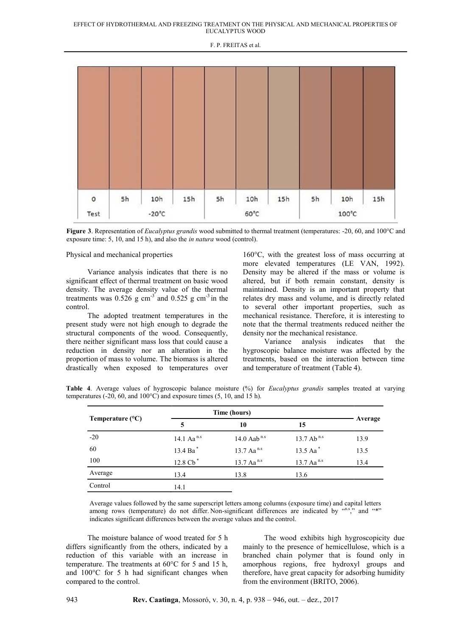

**Figure 3**. Representation of *Eucalyptus grandis* wood submitted to thermal treatment (temperatures: -20, 60, and 100°C and exposure time: 5, 10, and 15 h), and also the *in natura* wood (control).

Physical and mechanical properties

Variance analysis indicates that there is no significant effect of thermal treatment on basic wood density. The average density value of the thermal treatments was  $0.526$  g cm<sup>-3</sup> and  $0.525$  g cm<sup>-3</sup> in the control.

The adopted treatment temperatures in the present study were not high enough to degrade the structural components of the wood. Consequently, there neither significant mass loss that could cause a reduction in density nor an alteration in the proportion of mass to volume. The biomass is altered drastically when exposed to temperatures over 160°C, with the greatest loss of mass occurring at more elevated temperatures (LE VAN, 1992). Density may be altered if the mass or volume is altered, but if both remain constant, density is maintained. Density is an important property that relates dry mass and volume, and is directly related to several other important properties, such as mechanical resistance. Therefore, it is interesting to note that the thermal treatments reduced neither the density nor the mechanical resistance.

Variance analysis indicates that the hygroscopic balance moisture was affected by the treatments, based on the interaction between time and temperature of treatment (Table 4).

| Temperature $(^{\circ}C)$ | Time (hours)           |                          |                          |         |
|---------------------------|------------------------|--------------------------|--------------------------|---------|
|                           | 5                      | 10                       | 15                       | Average |
| $-20$                     | 14.1 Aa <sup>n.s</sup> | 14.0 Aab <sup>n.s</sup>  | 13.7 Ab <sup>n.s</sup>   | 13.9    |
| 60                        | 13.4 Ba*               | $13.7$ Aa <sup>n.s</sup> | 13.5 Aa*                 | 13.5    |
| 100                       | 12.8 Cb <sup>*</sup>   | $13.7$ Aa <sup>n.s</sup> | $13.7$ Aa <sup>n.s</sup> | 13.4    |
| Average                   | 13.4                   | 13.8                     | 13.6                     |         |
| Control                   | 14.1                   |                          |                          |         |

**Table 4**. Average values of hygroscopic balance moisture (%) for *Eucalyptus grandis* samples treated at varying temperatures (-20, 60, and  $100^{\circ}$ C) and exposure times (5, 10, and 15 h).

Average values followed by the same superscript letters among columns (exposure time) and capital letters among rows (temperature) do not differ. Non-significant differences are indicated by  $(ans, s)$  and  $(4*)$ indicates significant differences between the average values and the control.

The moisture balance of wood treated for 5 h differs significantly from the others, indicated by a reduction of this variable with an increase in temperature. The treatments at 60°C for 5 and 15 h, and 100°C for 5 h had significant changes when compared to the control.

The wood exhibits high hygroscopicity due mainly to the presence of hemicellulose, which is a branched chain polymer that is found only in amorphous regions, free hydroxyl groups and therefore, have great capacity for adsorbing humidity from the environment (BRITO, 2006).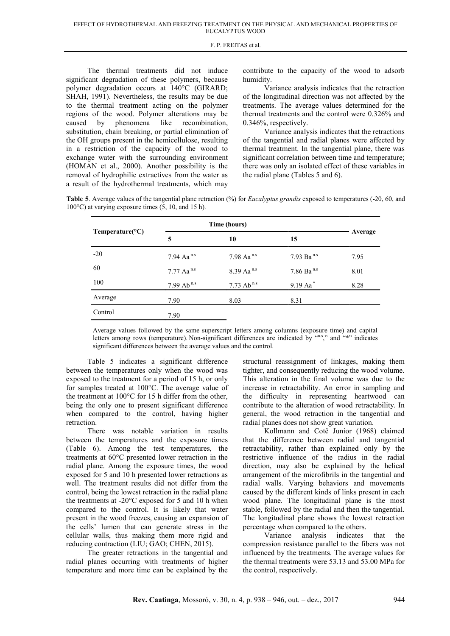The thermal treatments did not induce significant degradation of these polymers, because polymer degradation occurs at 140°C (GIRARD; SHAH, 1991). Nevertheless, the results may be due to the thermal treatment acting on the polymer regions of the wood. Polymer alterations may be caused by phenomena like recombination, substitution, chain breaking, or partial elimination of the OH groups present in the hemicellulose, resulting in a restriction of the capacity of the wood to exchange water with the surrounding environment (HOMAN et al., 2000). Another possibility is the removal of hydrophilic extractives from the water as a result of the hydrothermal treatments, which may

contribute to the capacity of the wood to adsorb humidity.

Variance analysis indicates that the retraction of the longitudinal direction was not affected by the treatments. The average values determined for the thermal treatments and the control were 0.326% and 0.346%, respectively.

Variance analysis indicates that the retractions of the tangential and radial planes were affected by thermal treatment. In the tangential plane, there was significant correlation between time and temperature; there was only an isolated effect of these variables in the radial plane (Tables 5 and 6).

**Table 5**. Average values of the tangential plane retraction (%) for *Eucalyptus grandis* exposed to temperatures (-20, 60, and 100 $^{\circ}$ C) at varying exposure times (5, 10, and 15 h).

| Temperature( ${}^{\circ}C$ ) | Time (hours)           |                          |                          |         |
|------------------------------|------------------------|--------------------------|--------------------------|---------|
|                              | 5                      | 10                       | 15                       | Average |
| $-20$                        | 7.94 Aa <sup>n.s</sup> | $7.98$ Aa <sup>n.s</sup> | 7.93 Ba <sup>n.s</sup>   | 7.95    |
| 60                           | 7.77 Aa <sup>n.s</sup> | 8.39 Aa <sup>n.s</sup>   | $7.86$ Ba <sup>n.s</sup> | 8.01    |
| 100                          | 7.99 Ab <sup>n.s</sup> | 7.73 Ab <sup>n.s</sup>   | $9.19$ Aa <sup>*</sup>   | 8.28    |
| Average                      | 7.90                   | 8.03                     | 8.31                     |         |
| Control                      | 7.90                   |                          |                          |         |

Average values followed by the same superscript letters among columns (exposure time) and capital letters among rows (temperature). Non-significant differences are indicated by "n.s," and "\*" indicates significant differences between the average values and the control.

Table 5 indicates a significant difference between the temperatures only when the wood was exposed to the treatment for a period of 15 h, or only for samples treated at 100°C. The average value of the treatment at 100°C for 15 h differ from the other, being the only one to present significant difference when compared to the control, having higher retraction.

There was notable variation in results between the temperatures and the exposure times (Table 6). Among the test temperatures, the treatments at 60°C presented lower retraction in the radial plane. Among the exposure times, the wood exposed for 5 and 10 h presented lower retractions as well. The treatment results did not differ from the control, being the lowest retraction in the radial plane the treatments at -20°C exposed for 5 and 10 h when compared to the control. It is likely that water present in the wood freezes, causing an expansion of the cells' lumen that can generate stress in the cellular walls, thus making them more rigid and reducing contraction (LIU; GAO; CHEN, 2015).

The greater retractions in the tangential and radial planes occurring with treatments of higher temperature and more time can be explained by the

structural reassignment of linkages, making them tighter, and consequently reducing the wood volume. This alteration in the final volume was due to the increase in retractability. An error in sampling and the difficulty in representing heartwood can contribute to the alteration of wood retractability. In general, the wood retraction in the tangential and radial planes does not show great variation.

Kollmann and Cotê Junior (1968) claimed that the difference between radial and tangential retractability, rather than explained only by the restrictive influence of the radius in the radial direction, may also be explained by the helical arrangement of the microfibrils in the tangential and radial walls. Varying behaviors and movements caused by the different kinds of links present in each wood plane. The longitudinal plane is the most stable, followed by the radial and then the tangential. The longitudinal plane shows the lowest retraction percentage when compared to the others.

Variance analysis indicates that the compression resistance parallel to the fibers was not influenced by the treatments. The average values for the thermal treatments were 53.13 and 53.00 MPa for the control, respectively.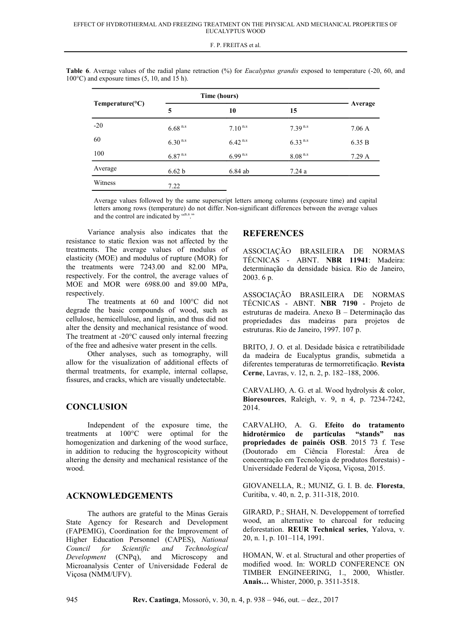|  |  |  | F. P. FREITAS et al. |  |  |
|--|--|--|----------------------|--|--|
|--|--|--|----------------------|--|--|

| Temperature( ${}^{\circ}C$ ) | Time (hours) |              |              |         |
|------------------------------|--------------|--------------|--------------|---------|
|                              | 5            | 10           | 15           | Average |
| $-20$                        | $6.68^{n.s}$ | $7.10^{n.s}$ | $7.39^{n.s}$ | 7.06 A  |
| 60                           | $6.30^{n.s}$ | $6.42^{n.s}$ | $6.33^{n.s}$ | 6.35 B  |
| 100                          | $6.87^{n.s}$ | $6.99^{n.s}$ | $8.08^{n.s}$ | 7.29A   |
| Average                      | 6.62 b       | $6.84$ ab    | 7.24a        |         |
| Witness                      | 7.22         |              |              |         |

Table 6. Average values of the radial plane retraction (%) for *Eucalyptus grandis* exposed to temperature (-20, 60, and 100°C) and exposure times (5, 10, and 15 h).

Average values followed by the same superscript letters among columns (exposure time) and capital letters among rows (temperature) do not differ. Non-significant differences between the average values and the control are indicated by "n.s."

Variance analysis also indicates that the resistance to static flexion was not affected by the treatments. The average values of modulus of elasticity (MOE) and modulus of rupture (MOR) for the treatments were 7243.00 and 82.00 MPa, respectively. For the control, the average values of MOE and MOR were 6988.00 and 89.00 MPa, respectively.

The treatments at 60 and 100°C did not degrade the basic compounds of wood, such as cellulose, hemicellulose, and lignin, and thus did not alter the density and mechanical resistance of wood. The treatment at -20°C caused only internal freezing of the free and adhesive water present in the cells.

Other analyses, such as tomography, will allow for the visualization of additional effects of thermal treatments, for example, internal collapse, fissures, and cracks, which are visually undetectable.

# **CONCLUSION**

Independent of the exposure time, the treatments at 100°C were optimal for the homogenization and darkening of the wood surface, in addition to reducing the hygroscopicity without altering the density and mechanical resistance of the wood.

# **ACKNOWLEDGEMENTS**

The authors are grateful to the Minas Gerais State Agency for Research and Development (FAPEMIG), Coordination for the Improvement of Higher Education Personnel (CAPES), *National Council for Scientific and Technological Development* (CNPq), and Microscopy and Microanalysis Center of Universidade Federal de Viçosa (NMM/UFV).

### **REFERENCES**

ASSOCIAÇÃO BRASILEIRA DE NORMAS TÉCNICAS - ABNT. **NBR 11941**: Madeira: determinação da densidade básica. Rio de Janeiro, 2003. 6 p.

ASSOCIAÇÃO BRASILEIRA DE NORMAS TÉCNICAS - ABNT. **NBR 7190** - Projeto de estruturas de madeira. Anexo B – Determinação das propriedades das madeiras para projetos de estruturas. Rio de Janeiro, 1997. 107 p.

BRITO, J. O. et al. Desidade básica e retratibilidade da madeira de Eucalyptus grandis, submetida a diferentes temperaturas de termorretificação. **Revista Cerne**, Lavras, v. 12, n. 2, p. 182–188, 2006.

CARVALHO, A. G. et al. Wood hydrolysis & color, **Bioresources**, Raleigh, v. 9, n 4, p. 7234-7242, 2014.

CARVALHO, A. G. **Efeito do tratamento hidrotérmico de partículas "stands" nas propriedades de painéis OSB**. 2015 73 f. Tese (Doutorado em Ciência Florestal: Área de concentração em Tecnologia de produtos florestais) - Universidade Federal de Viçosa, Viçosa, 2015.

GIOVANELLA, R.; MUNIZ, G. I. B. de. **Floresta**, Curitiba, v. 40, n. 2, p. 311-318, 2010.

GIRARD, P.; SHAH, N. Developpement of torrefied wood, an alternative to charcoal for reducing deforestation. **REUR Technical series**, Yalova, v. 20, n. 1, p. 101–114, 1991.

HOMAN, W. et al. Structural and other properties of modified wood. In: WORLD CONFERENCE ON TIMBER ENGINEERING, 1., 2000, Whistler. **Anais…** Whister, 2000, p. 3511-3518.